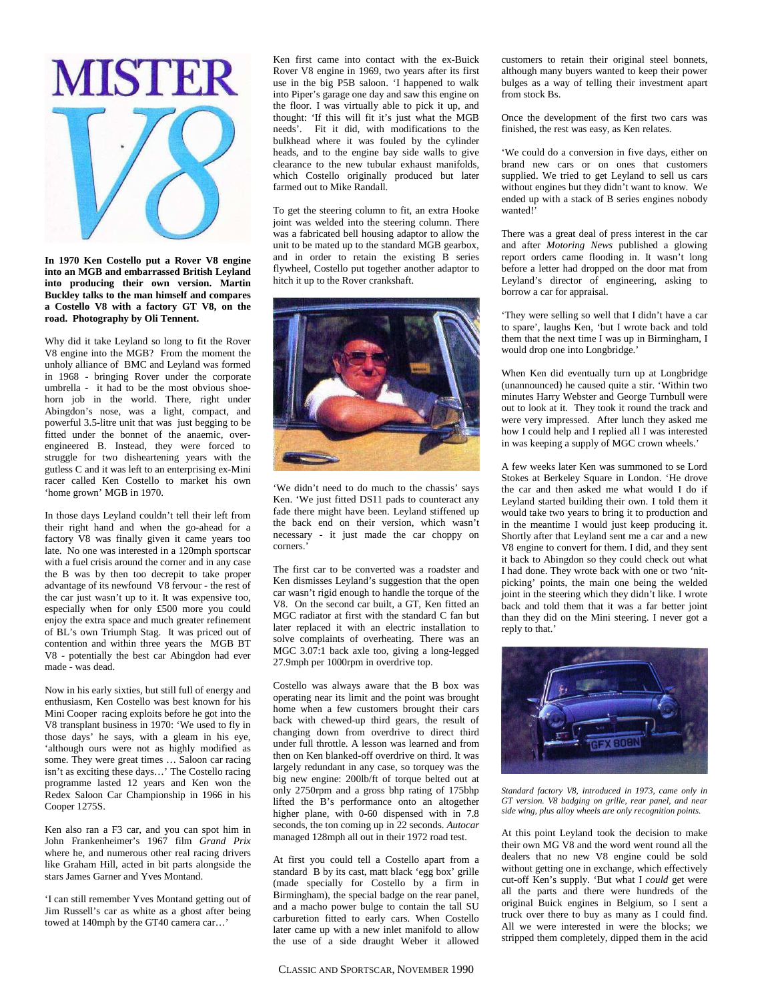

**In 1970 Ken Costello put a Rover V8 engine into an MGB and embarrassed British Leyland into producing their own version. Martin Buckley talks to the man himself and compares a Costello V8 with a factory GT V8, on the road. Photography by Oli Tennent.** 

Why did it take Leyland so long to fit the Rover V8 engine into the MGB? From the moment the unholy alliance of BMC and Leyland was formed in 1968 - bringing Rover under the corporate umbrella - it had to be the most obvious shoehorn job in the world. There, right under Abingdon's nose, was a light, compact, and powerful 3.5-litre unit that was just begging to be fitted under the bonnet of the anaemic, overengineered B. Instead, they were forced to struggle for two disheartening years with the gutless C and it was left to an enterprising ex-Mini racer called Ken Costello to market his own 'home grown' MGB in 1970.

In those days Leyland couldn't tell their left from their right hand and when the go-ahead for a factory V8 was finally given it came years too late. No one was interested in a 120mph sportscar with a fuel crisis around the corner and in any case the B was by then too decrepit to take proper advantage of its newfound V8 fervour - the rest of the car just wasn't up to it. It was expensive too, especially when for only £500 more you could enjoy the extra space and much greater refinement of BL's own Triumph Stag. It was priced out of contention and within three years the MGB BT V8 - potentially the best car Abingdon had ever made - was dead.

Now in his early sixties, but still full of energy and enthusiasm, Ken Costello was best known for his Mini Cooper racing exploits before he got into the V8 transplant business in 1970: 'We used to fly in those days' he says, with a gleam in his eye, 'although ours were not as highly modified as some. They were great times … Saloon car racing isn't as exciting these days…' The Costello racing programme lasted 12 years and Ken won the Redex Saloon Car Championship in 1966 in his Cooper 1275S.

Ken also ran a F3 car, and you can spot him in John Frankenheimer's 1967 film *Grand Prix* where he, and numerous other real racing drivers like Graham Hill, acted in bit parts alongside the stars James Garner and Yves Montand.

'I can still remember Yves Montand getting out of Jim Russell's car as white as a ghost after being towed at 140mph by the GT40 camera car…'

Ken first came into contact with the ex-Buick Rover V8 engine in 1969, two years after its first use in the big P5B saloon. 'I happened to walk into Piper's garage one day and saw this engine on the floor. I was virtually able to pick it up, and thought: 'If this will fit it's just what the MGB needs'. Fit it did, with modifications to the bulkhead where it was fouled by the cylinder heads, and to the engine bay side walls to give clearance to the new tubular exhaust manifolds, which Costello originally produced but later farmed out to Mike Randall.

To get the steering column to fit, an extra Hooke joint was welded into the steering column. There was a fabricated bell housing adaptor to allow the unit to be mated up to the standard MGB gearbox, and in order to retain the existing B series flywheel, Costello put together another adaptor to hitch it up to the Rover crankshaft.



'We didn't need to do much to the chassis' says Ken. 'We just fitted DS11 pads to counteract any fade there might have been. Leyland stiffened up the back end on their version, which wasn't necessary - it just made the car choppy on corners.'

The first car to be converted was a roadster and Ken dismisses Leyland's suggestion that the open car wasn't rigid enough to handle the torque of the V8. On the second car built, a GT, Ken fitted an MGC radiator at first with the standard C fan but later replaced it with an electric installation to solve complaints of overheating. There was an MGC 3.07:1 back axle too, giving a long-legged 27.9mph per 1000rpm in overdrive top.

Costello was always aware that the B box was operating near its limit and the point was brought home when a few customers brought their cars back with chewed-up third gears, the result of changing down from overdrive to direct third under full throttle. A lesson was learned and from then on Ken blanked-off overdrive on third. It was largely redundant in any case, so torquey was the big new engine: 200lb/ft of torque belted out at only 2750rpm and a gross bhp rating of 175bhp lifted the B's performance onto an altogether higher plane, with 0-60 dispensed with in 7.8 seconds, the ton coming up in 22 seconds. *Autocar*  managed 128mph all out in their 1972 road test.

At first you could tell a Costello apart from a standard B by its cast, matt black 'egg box' grille (made specially for Costello by a firm in Birmingham), the special badge on the rear panel, and a macho power bulge to contain the tall SU carburetion fitted to early cars. When Costello later came up with a new inlet manifold to allow the use of a side draught Weber it allowed

customers to retain their original steel bonnets, although many buyers wanted to keep their power bulges as a way of telling their investment apart from stock Bs.

Once the development of the first two cars was finished, the rest was easy, as Ken relates.

'We could do a conversion in five days, either on brand new cars or on ones that customers supplied. We tried to get Leyland to sell us cars without engines but they didn't want to know. We ended up with a stack of B series engines nobody wanted!'

There was a great deal of press interest in the car and after *Motoring News* published a glowing report orders came flooding in. It wasn't long before a letter had dropped on the door mat from Leyland's director of engineering, asking to borrow a car for appraisal.

'They were selling so well that I didn't have a car to spare', laughs Ken, 'but I wrote back and told them that the next time I was up in Birmingham, I would drop one into Longbridge.'

When Ken did eventually turn up at Longbridge (unannounced) he caused quite a stir. 'Within two minutes Harry Webster and George Turnbull were out to look at it. They took it round the track and were very impressed. After lunch they asked me how I could help and I replied all I was interested in was keeping a supply of MGC crown wheels.'

A few weeks later Ken was summoned to se Lord Stokes at Berkeley Square in London. 'He drove the car and then asked me what would I do if Leyland started building their own. I told them it would take two years to bring it to production and in the meantime I would just keep producing it. Shortly after that Leyland sent me a car and a new V8 engine to convert for them. I did, and they sent it back to Abingdon so they could check out what I had done. They wrote back with one or two 'nitpicking' points, the main one being the welded joint in the steering which they didn't like. I wrote back and told them that it was a far better joint than they did on the Mini steering. I never got a reply to that.'



*Standard factory V8, introduced in 1973, came only in GT version. V8 badging on grille, rear panel, and near side wing, plus alloy wheels are only recognition points.* 

At this point Leyland took the decision to make their own MG V8 and the word went round all the dealers that no new V8 engine could be sold without getting one in exchange, which effectively cut-off Ken's supply. 'But what I *could* get were all the parts and there were hundreds of the original Buick engines in Belgium, so I sent a truck over there to buy as many as I could find. All we were interested in were the blocks; we stripped them completely, dipped them in the acid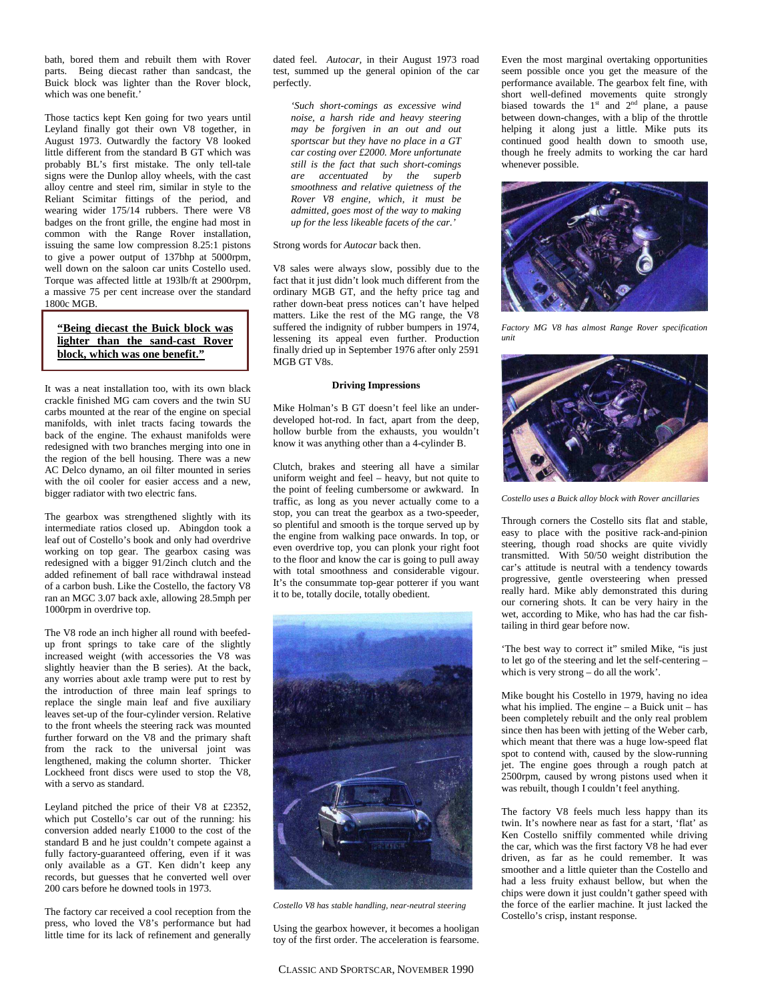bath, bored them and rebuilt them with Rover parts. Being diecast rather than sandcast, the Buick block was lighter than the Rover block, which was one benefit.'

Those tactics kept Ken going for two years until Leyland finally got their own V8 together, in August 1973. Outwardly the factory V8 looked little different from the standard B GT which was probably BL's first mistake. The only tell-tale signs were the Dunlop alloy wheels, with the cast alloy centre and steel rim, similar in style to the Reliant Scimitar fittings of the period, and wearing wider 175/14 rubbers. There were V8 badges on the front grille, the engine had most in common with the Range Rover installation, issuing the same low compression 8.25:1 pistons to give a power output of 137bhp at 5000rpm, well down on the saloon car units Costello used. Torque was affected little at 193lb/ft at 2900rpm, a massive 75 per cent increase over the standard 1800c MGB.

**"Being diecast the Buick block was lighter than the sand-cast Rover block, which was one benefit."**

It was a neat installation too, with its own black crackle finished MG cam covers and the twin SU carbs mounted at the rear of the engine on special manifolds, with inlet tracts facing towards the back of the engine. The exhaust manifolds were redesigned with two branches merging into one in the region of the bell housing. There was a new AC Delco dynamo, an oil filter mounted in series with the oil cooler for easier access and a new, bigger radiator with two electric fans.

The gearbox was strengthened slightly with its intermediate ratios closed up. Abingdon took a leaf out of Costello's book and only had overdrive working on top gear. The gearbox casing was redesigned with a bigger 91/2inch clutch and the added refinement of ball race withdrawal instead of a carbon bush. Like the Costello, the factory V8 ran an MGC 3.07 back axle, allowing 28.5mph per 1000rpm in overdrive top.

The V8 rode an inch higher all round with beefedup front springs to take care of the slightly increased weight (with accessories the V8 was slightly heavier than the B series). At the back, any worries about axle tramp were put to rest by the introduction of three main leaf springs to replace the single main leaf and five auxiliary leaves set-up of the four-cylinder version. Relative to the front wheels the steering rack was mounted further forward on the V8 and the primary shaft from the rack to the universal joint was lengthened, making the column shorter. Thicker Lockheed front discs were used to stop the V8, with a servo as standard.

Leyland pitched the price of their V8 at £2352, which put Costello's car out of the running: his conversion added nearly £1000 to the cost of the standard B and he just couldn't compete against a fully factory-guaranteed offering, even if it was only available as a GT. Ken didn't keep any records, but guesses that he converted well over 200 cars before he downed tools in 1973.

The factory car received a cool reception from the press, who loved the V8's performance but had little time for its lack of refinement and generally dated feel. *Autocar,* in their August 1973 road test, summed up the general opinion of the car perfectly.

*'Such short-comings as excessive wind noise, a harsh ride and heavy steering may be forgiven in an out and out sportscar but they have no place in a GT car costing over £2000. More unfortunate still is the fact that such short-comings are accentuated by the superb smoothness and relative quietness of the Rover V8 engine, which, it must be admitted, goes most of the way to making up for the less likeable facets of the car.'* 

Strong words for *Autocar* back then.

V8 sales were always slow, possibly due to the fact that it just didn't look much different from the ordinary MGB GT, and the hefty price tag and rather down-beat press notices can't have helped matters. Like the rest of the MG range, the V8 suffered the indignity of rubber bumpers in 1974, lessening its appeal even further. Production finally dried up in September 1976 after only 2591 MGB GT V8s.

## **Driving Impressions**

Mike Holman's B GT doesn't feel like an underdeveloped hot-rod. In fact, apart from the deep, hollow burble from the exhausts, you wouldn't know it was anything other than a 4-cylinder B.

Clutch, brakes and steering all have a similar uniform weight and feel – heavy, but not quite to the point of feeling cumbersome or awkward. In traffic, as long as you never actually come to a stop, you can treat the gearbox as a two-speeder, so plentiful and smooth is the torque served up by the engine from walking pace onwards. In top, or even overdrive top, you can plonk your right foot to the floor and know the car is going to pull away with total smoothness and considerable vigour. It's the consummate top-gear potterer if you want it to be, totally docile, totally obedient.



*Costello V8 has stable handling, near-neutral steering* 

Using the gearbox however, it becomes a hooligan toy of the first order. The acceleration is fearsome. Even the most marginal overtaking opportunities seem possible once you get the measure of the performance available. The gearbox felt fine, with short well-defined movements quite strongly biased towards the  $1<sup>st</sup>$  and  $2<sup>nd</sup>$  plane, a pause between down-changes, with a blip of the throttle helping it along just a little. Mike puts its continued good health down to smooth use, though he freely admits to working the car hard whenever possible.



*Factory MG V8 has almost Range Rover specification unit* 



*Costello uses a Buick alloy block with Rover ancillaries* 

Through corners the Costello sits flat and stable, easy to place with the positive rack-and-pinion steering, though road shocks are quite vividly transmitted. With 50/50 weight distribution the car's attitude is neutral with a tendency towards progressive, gentle oversteering when pressed really hard. Mike ably demonstrated this during our cornering shots. It can be very hairy in the wet, according to Mike, who has had the car fishtailing in third gear before now.

'The best way to correct it" smiled Mike, "is just to let go of the steering and let the self-centering – which is very strong – do all the work'.

Mike bought his Costello in 1979, having no idea what his implied. The engine – a Buick unit – has been completely rebuilt and the only real problem since then has been with jetting of the Weber carb, which meant that there was a huge low-speed flat spot to contend with, caused by the slow-running jet. The engine goes through a rough patch at 2500rpm, caused by wrong pistons used when it was rebuilt, though I couldn't feel anything.

The factory V8 feels much less happy than its twin. It's nowhere near as fast for a start, 'flat' as Ken Costello sniffily commented while driving the car, which was the first factory V8 he had ever driven, as far as he could remember. It was smoother and a little quieter than the Costello and had a less fruity exhaust bellow, but when the chips were down it just couldn't gather speed with the force of the earlier machine. It just lacked the Costello's crisp, instant response.